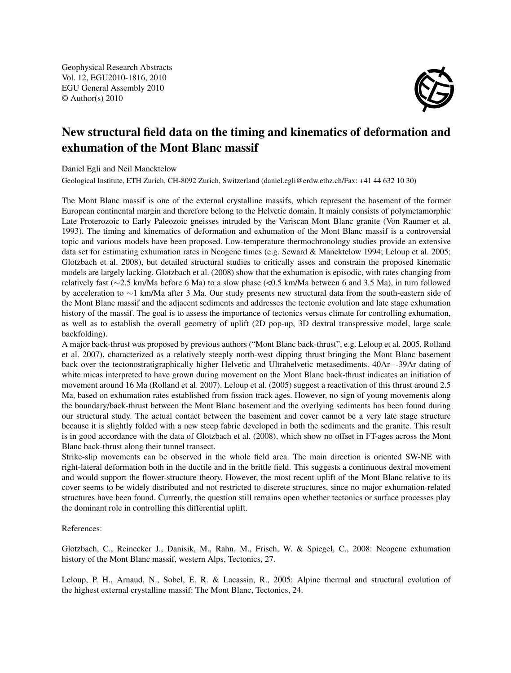Geophysical Research Abstracts Vol. 12, EGU2010-1816, 2010 EGU General Assembly 2010 © Author(s) 2010



## New structural field data on the timing and kinematics of deformation and exhumation of the Mont Blanc massif

Daniel Egli and Neil Mancktelow

Geological Institute, ETH Zurich, CH-8092 Zurich, Switzerland (daniel.egli@erdw.ethz.ch/Fax: +41 44 632 10 30)

The Mont Blanc massif is one of the external crystalline massifs, which represent the basement of the former European continental margin and therefore belong to the Helvetic domain. It mainly consists of polymetamorphic Late Proterozoic to Early Paleozoic gneisses intruded by the Variscan Mont Blanc granite (Von Raumer et al. 1993). The timing and kinematics of deformation and exhumation of the Mont Blanc massif is a controversial topic and various models have been proposed. Low-temperature thermochronology studies provide an extensive data set for estimating exhumation rates in Neogene times (e.g. Seward & Mancktelow 1994; Leloup et al. 2005; Glotzbach et al. 2008), but detailed structural studies to critically asses and constrain the proposed kinematic models are largely lacking. Glotzbach et al. (2008) show that the exhumation is episodic, with rates changing from relatively fast (∼2.5 km/Ma before 6 Ma) to a slow phase (<0.5 km/Ma between 6 and 3.5 Ma), in turn followed by acceleration to ∼1 km/Ma after 3 Ma. Our study presents new structural data from the south-eastern side of the Mont Blanc massif and the adjacent sediments and addresses the tectonic evolution and late stage exhumation history of the massif. The goal is to assess the importance of tectonics versus climate for controlling exhumation, as well as to establish the overall geometry of uplift (2D pop-up, 3D dextral transpressive model, large scale backfolding).

A major back-thrust was proposed by previous authors ("Mont Blanc back-thrust", e.g. Leloup et al. 2005, Rolland et al. 2007), characterized as a relatively steeply north-west dipping thrust bringing the Mont Blanc basement back over the tectonostratigraphically higher Helvetic and Ultrahelvetic metasediments. 40Ar¬-39Ar dating of white micas interpreted to have grown during movement on the Mont Blanc back-thrust indicates an initiation of movement around 16 Ma (Rolland et al. 2007). Leloup et al. (2005) suggest a reactivation of this thrust around 2.5 Ma, based on exhumation rates established from fission track ages. However, no sign of young movements along the boundary/back-thrust between the Mont Blanc basement and the overlying sediments has been found during our structural study. The actual contact between the basement and cover cannot be a very late stage structure because it is slightly folded with a new steep fabric developed in both the sediments and the granite. This result is in good accordance with the data of Glotzbach et al. (2008), which show no offset in FT-ages across the Mont Blanc back-thrust along their tunnel transect.

Strike-slip movements can be observed in the whole field area. The main direction is oriented SW-NE with right-lateral deformation both in the ductile and in the brittle field. This suggests a continuous dextral movement and would support the flower-structure theory. However, the most recent uplift of the Mont Blanc relative to its cover seems to be widely distributed and not restricted to discrete structures, since no major exhumation-related structures have been found. Currently, the question still remains open whether tectonics or surface processes play the dominant role in controlling this differential uplift.

References:

Glotzbach, C., Reinecker J., Danisik, M., Rahn, M., Frisch, W. & Spiegel, C., 2008: Neogene exhumation history of the Mont Blanc massif, western Alps, Tectonics, 27.

Leloup, P. H., Arnaud, N., Sobel, E. R. & Lacassin, R., 2005: Alpine thermal and structural evolution of the highest external crystalline massif: The Mont Blanc, Tectonics, 24.